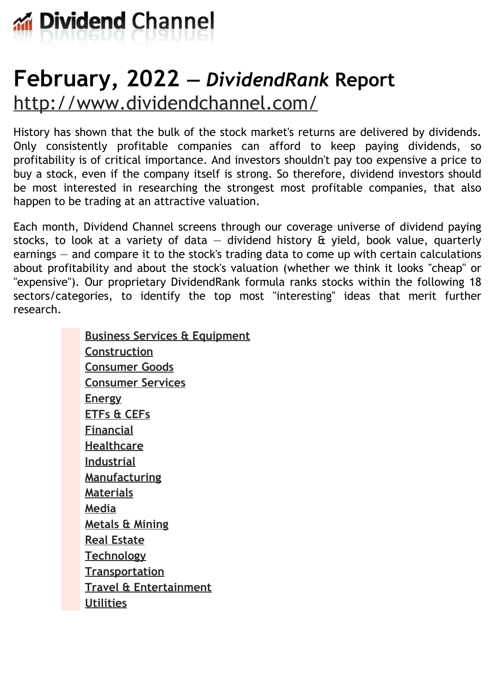

# **February, 2022 —** *DividendRank* **Report** <http://www.dividendchannel.com/>

History has shown that the bulk of the stock market's returns are delivered by dividends. Only consistently profitable companies can afford to keep paying dividends, so profitability is of critical importance. And investors shouldn't pay too expensive a price to buy a stock, even if the company itself is strong. So therefore, dividend investors should be most interested in researching the strongest most profitable companies, that also happen to be trading at an attractive valuation.

Each month, Dividend Channel screens through our coverage universe of dividend paying stocks, to look at a variety of data  $-$  dividend history  $\hat{a}$  yield, book value, quarterly earnings — and compare it to the stock's trading data to come up with certain calculations about profitability and about the stock's valuation (whether we think it looks ''cheap'' or "expensive"). Our proprietary DividendRank formula ranks stocks within the following 18 sectors/categories, to identify the top most ''interesting'' ideas that merit further research.

> **Business Services & [Equipment](file:///root/temp.html#l01) [Construction](file:///root/temp.html#l02) [Consumer](file:///root/temp.html#l03) Goods [Consumer](file:///root/temp.html#l04) Services [Energy](file:///root/temp.html#l05) [ETFs](file:///root/temp.html#l06) & CEFs [Financial](file:///root/temp.html#l07) [Healthcare](file:///root/temp.html#l08) [Industrial](file:///root/temp.html#l09) [Manufacturing](file:///root/temp.html#l10) [Materials](file:///root/temp.html#l11) [Media](file:///root/temp.html#l12) [Metals](file:///root/temp.html#l13) & Mining Real [Estate](file:///root/temp.html#l14) [Technology](file:///root/temp.html#l15) [Transportation](file:///root/temp.html#l16) Travel & [Entertainment](file:///root/temp.html#l17) [Utilities](file:///root/temp.html#l18)**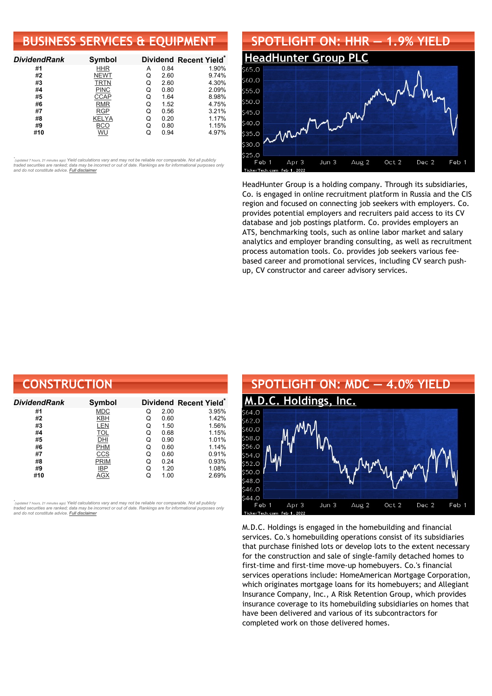# **BUSINESS SERVICES & EQUIPMENT**

| <b>DividendRank</b> | Symbol       |   |      | Dividend Recent Yield* |
|---------------------|--------------|---|------|------------------------|
| #1                  | <b>HHR</b>   | А | 0.84 | 1.90%                  |
| #2                  | <b>NEWT</b>  | O | 2.60 | 9.74%                  |
| #3                  | TRTN         | Q | 2.60 | 4.30%                  |
| #4                  | <b>PINC</b>  | Q | 0.80 | 2.09%                  |
| #5                  | <b>CCAP</b>  | Q | 1.64 | 8.98%                  |
| #6                  | <b>RMR</b>   | Q | 1.52 | 4.75%                  |
| #7                  | <b>RGP</b>   | Q | 0.56 | 3.21%                  |
| #8                  | <b>KELYA</b> | Q | 0.20 | 1.17%                  |
| #9                  | BCO          | Q | 0.80 | 1.15%                  |
| #10                 | WU           |   | 0.94 | 4.97%                  |

•<br>"<sub>(updated 7 hours, 21 minutes ago) Yield calculations vary and may not be reliable nor comparable. Not all publicly<br>traded securities are ranked; data may be incorrect or out of date. Rankings are for informational purp</sub> *and do not constitute advice. Full [disclaimer](https://www.dividendchannel.com/disclaimer/)*



HeadHunter Group is a holding company. Through its subsidiaries, Co. is engaged in online recruitment platform in Russia and the CIS region and focused on connecting job seekers with employers. Co. provides potential employers and recruiters paid access to its CV database and job postings platform. Co. provides employers an ATS, benchmarking tools, such as online labor market and salary analytics and employer branding consulting, as well as recruitment process automation tools. Co. provides job seekers various feebased career and promotional services, including CV search pushup, CV constructor and career advisory services.

| <b>CONSTRUCTION</b> |             |   |      |                        |
|---------------------|-------------|---|------|------------------------|
| Dividend Rank       | Symbol      |   |      | Dividend Recent Yield* |
| #1                  | <b>MDC</b>  | Q | 2.00 | 3.95%                  |
| #2                  | KBH         | Q | 0.60 | 1.42%                  |
| #3                  | <b>LEN</b>  | Q | 1.50 | 1.56%                  |
| #4                  | <b>TOL</b>  | Q | 0.68 | 1.15%                  |
| #5                  | DHI         | Q | 0.90 | 1.01%                  |
| #6                  | <b>PHM</b>  | Q | 0.60 | 1.14%                  |
| #7                  | CCS         | Q | 0.60 | 0.91%                  |
| #8                  | <b>PRIM</b> | Q | 0.24 | 0.93%                  |
| #9                  | IBP         | Q | 1.20 | 1.08%                  |
| #10                 | AGX         | Q | 1.00 | 2.69%                  |

*\** ated 7 hours, 21 minutes ago) Yield calculations vary and may not be reliable nor comparable. Not all publicly traded securities are ranked; data may be incorrect or out of date. Rankings are for informational purposes only *and do not constitute advice. Full [disclaimer](https://www.dividendchannel.com/disclaimer/)*



M.D.C. Holdings is engaged in the homebuilding and financial services. Co.'s homebuilding operations consist of its subsidiaries that purchase finished lots or develop lots to the extent necessary for the construction and sale of single-family detached homes to first-time and first-time move-up homebuyers. Co.'s financial services operations include: HomeAmerican Mortgage Corporation, which originates mortgage loans for its homebuyers; and Allegiant Insurance Company, Inc., A Risk Retention Group, which provides insurance coverage to its homebuilding subsidiaries on homes that have been delivered and various of its subcontractors for completed work on those delivered homes.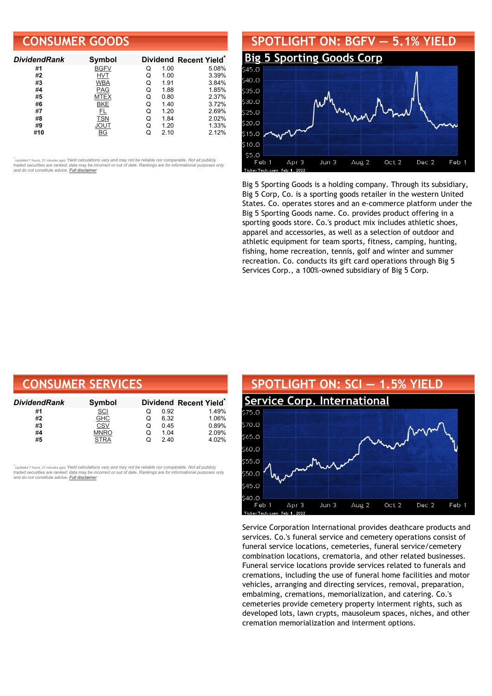# **CONSUMER GOODS**

| <b>DividendRank</b> | <b>Symbol</b> |   |      | Dividend Recent Yield* |
|---------------------|---------------|---|------|------------------------|
| #1                  | <b>BGFV</b>   | Q | 1.00 | 5.08%                  |
| #2                  | <b>HVT</b>    | Q | 1.00 | 3.39%                  |
| #3                  | <b>WBA</b>    | Q | 1.91 | 3.84%                  |
| #4                  | <b>PAG</b>    | Q | 1.88 | 1.85%                  |
| #5                  | MTEX          | Q | 0.80 | 2.37%                  |
| #6                  | <b>BKE</b>    | O | 1.40 | 3.72%                  |
| #7                  | FL            | Q | 1.20 | 2.69%                  |
| #8                  | TSN           | Q | 1.84 | 2.02%                  |
| #9                  | JOUT          | Q | 1.20 | 1.33%                  |
| #10                 | ВG            |   | 2.10 | 2.12%                  |

•<br>"<sub>(updated 7 hours, 21 minutes ago) Yield calculations vary and may not be reliable nor comparable. Not all publicly<br>traded securities are ranked; data may be incorrect or out of date. Rankings are for informational purp</sub> *and do not constitute advice. Full [disclaimer](https://www.dividendchannel.com/disclaimer/)*

#### **SPOTLIGHT ON: BGFV — 5.1% YIELD Big 5 [Sporting](http://www.dividendchannel.com/symbol/bgfv/) Goods Corp**  $40.0$  $35.0$ 230 U  $525.0$  $20.0$  $515.0$ 510.0  $55.0$ Jun 3 Aug 2 Oct 2 Dec 2 Feb 1 Feb Apr<sub>3</sub>

Big 5 Sporting Goods is a holding company. Through its subsidiary, Big 5 Corp, Co. is a sporting goods retailer in the western United States. Co. operates stores and an e-commerce platform under the Big 5 Sporting Goods name. Co. provides product offering in a sporting goods store. Co.'s product mix includes athletic shoes, apparel and accessories, as well as a selection of outdoor and athletic equipment for team sports, fitness, camping, hunting, fishing, home recreation, tennis, golf and winter and summer recreation. Co. conducts its gift card operations through Big 5 Services Corp., a 100%-owned subsidiary of Big 5 Corp.

| <b>CONSUMER SERVICES</b> |             |   |      |                                    |  |
|--------------------------|-------------|---|------|------------------------------------|--|
| DividendRank             | Symbol      |   |      | Dividend Recent Yield <sup>®</sup> |  |
| #1                       | <u>SCI</u>  | O | 0.92 | 1.49%                              |  |
| #2                       | <b>GHC</b>  | O | 6.32 | 1.06%                              |  |
| #3                       | CSV         | Q | 0.45 | 0.89%                              |  |
| #4                       | <b>MNRO</b> | Q | 1.04 | 2.09%                              |  |
| #5                       | <b>STRA</b> | Q | 2.40 | 4.02%                              |  |

*\** odated 7 hours. 21 minutes ago) Yield calculations vary and may not be reliable nor comparable. Not all publicly traded securities are ranked; data may be incorrect or out of date. Rankings are for informational purposes only<br>and do not constitute advice. <mark>Full [disclaimer](https://www.dividendchannel.com/disclaimer/)</mark>



Service Corporation International provides deathcare products and services. Co.'s funeral service and cemetery operations consist of funeral service locations, cemeteries, funeral service/cemetery combination locations, crematoria, and other related businesses. Funeral service locations provide services related to funerals and cremations, including the use of funeral home facilities and motor vehicles, arranging and directing services, removal, preparation, embalming, cremations, memorialization, and catering. Co.'s cemeteries provide cemetery property interment rights, such as developed lots, lawn crypts, mausoleum spaces, niches, and other cremation memorialization and interment options.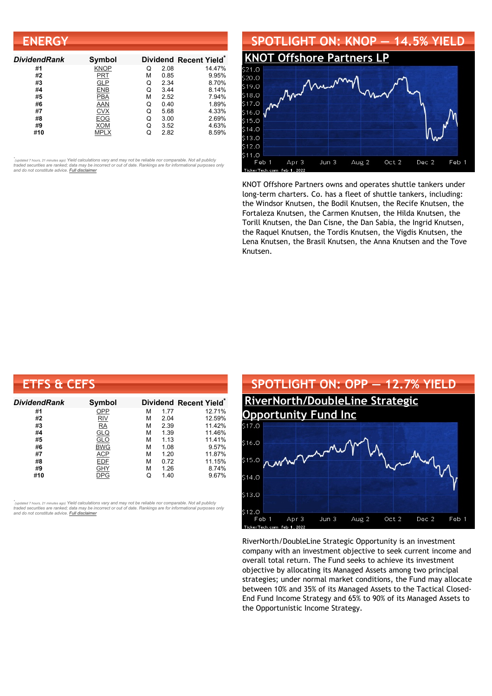| <b>ENERGY</b>       |             |   |      |                        |
|---------------------|-------------|---|------|------------------------|
| <b>DividendRank</b> | Symbol      |   |      | Dividend Recent Yield* |
| #1                  | <b>KNOP</b> | Q | 2.08 | 14.47%                 |
| #2                  | PRT         | м | 0.85 | 9.95%                  |
| #3                  | <b>GLP</b>  | Q | 2.34 | 8.70%                  |
| #4                  | <b>ENB</b>  | Q | 3.44 | 8.14%                  |
| #5                  | <b>PBA</b>  | М | 2.52 | 7.94%                  |
| #6                  | AAN         | Q | 0.40 | 1.89%                  |
| #7                  | <b>CVX</b>  | Q | 5.68 | 4.33%                  |
| #8                  | <b>EOG</b>  | Q | 3.00 | 2.69%                  |
| #9                  | <b>XOM</b>  | Q | 3.52 | 4.63%                  |
| #10                 | <b>MPLX</b> | Q | 2.82 | 8.59%                  |



KNOT Offshore Partners owns and operates shuttle tankers under long-term charters. Co. has a fleet of shuttle tankers, including: the Windsor Knutsen, the Bodil Knutsen, the Recife Knutsen, the Fortaleza Knutsen, the Carmen Knutsen, the Hilda Knutsen, the Torill Knutsen, the Dan Cisne, the Dan Sabia, the Ingrid Knutsen, the Raquel Knutsen, the Tordis Knutsen, the Vigdis Knutsen, the Lena Knutsen, the Brasil Knutsen, the Anna Knutsen and the Tove Knutsen.

| <b>ETFS &amp; CEFS</b> |            |   |      |                        |
|------------------------|------------|---|------|------------------------|
| Dividend Rank          | Symbol     |   |      | Dividend Recent Yield* |
| #1                     | OPP        | м | 1.77 | 12.71%                 |
| #2                     | RIV        | м | 2.04 | 12.59%                 |
| #3                     | <b>RA</b>  | М | 2.39 | 11.42%                 |
| #4                     | <u>GLQ</u> | М | 1.39 | 11.46%                 |
| #5                     | GLO        | М | 1.13 | 11.41%                 |
| #6                     | <b>BWG</b> | М | 1.08 | 9.57%                  |
| #7                     | <b>ACP</b> | М | 1.20 | 11.87%                 |
| #8                     | <b>EDF</b> | м | 0.72 | 11.15%                 |
| #9                     | <b>GHY</b> | М | 1.26 | 8.74%                  |
| #10                    | DPG        | Q | 1.40 | 9.67%                  |

*\** ated 7 hours, 21 minutes ago) Yield calculations vary and may not be reliable nor comparable. Not all publicly traded securities are ranked; data may be incorrect or out of date. Rankings are for informational purposes only *and do not constitute advice. Full [disclaimer](https://www.dividendchannel.com/disclaimer/)*



RiverNorth/DoubleLine Strategic Opportunity is an investment company with an investment objective to seek current income and overall total return. The Fund seeks to achieve its investment objective by allocating its Managed Assets among two principal strategies; under normal market conditions, the Fund may allocate between 10% and 35% of its Managed Assets to the Tactical Closed-End Fund Income Strategy and 65% to 90% of its Managed Assets to the Opportunistic Income Strategy.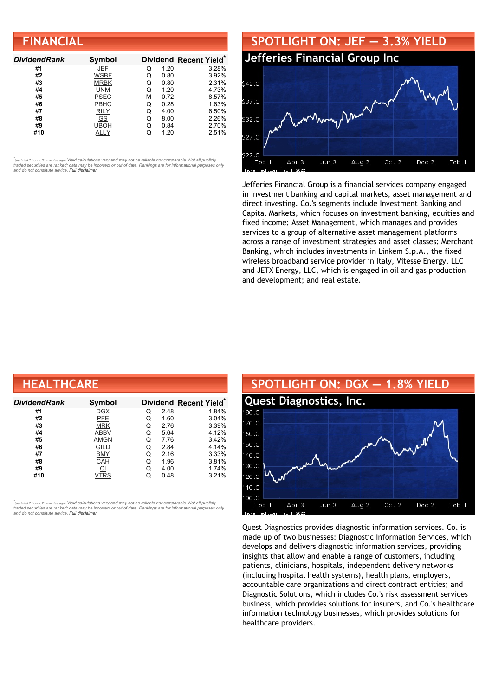| <b>FINANCIAL</b>    |             |   |      |                        |
|---------------------|-------------|---|------|------------------------|
| <b>DividendRank</b> | Symbol      |   |      | Dividend Recent Yield* |
| #1                  | JEF         | O | 1.20 | 3.28%                  |
| #2                  | WSBF        | Q | 0.80 | 3.92%                  |
| #3                  | <b>MRBK</b> | Q | 0.80 | 2.31%                  |
| #4                  | <b>UNM</b>  | Q | 1.20 | 4.73%                  |
| #5                  | <b>PSEC</b> | М | 0.72 | 8.57%                  |
| #6                  | PBHC        | Q | 0.28 | 1.63%                  |
| #7                  | <b>RILY</b> | Q | 4.00 | 6.50%                  |
| #8                  | GS          | Q | 8.00 | 2.26%                  |
| #9                  | UBOH        | Q | 0.84 | 2.70%                  |
| #10                 | ALLY        | Q | 1.20 | 2.51%                  |



Jefferies Financial Group is a financial services company engaged in investment banking and capital markets, asset management and direct investing. Co.'s segments include Investment Banking and Capital Markets, which focuses on investment banking, equities and fixed income; Asset Management, which manages and provides services to a group of alternative asset management platforms across a range of investment strategies and asset classes; Merchant Banking, which includes investments in Linkem S.p.A., the fixed wireless broadband service provider in Italy, Vitesse Energy, LLC and JETX Energy, LLC, which is engaged in oil and gas production and development; and real estate.

| <b>HEALTHCARE</b> |             |   |      |                                    |  |  |
|-------------------|-------------|---|------|------------------------------------|--|--|
| Dividend Rank     | Symbol      |   |      | Dividend Recent Yield <sup>®</sup> |  |  |
| #1                | <b>DGX</b>  | Q | 2.48 | 1.84%                              |  |  |
| #2                | PFE         | Q | 1.60 | 3.04%                              |  |  |
| #3                | <b>MRK</b>  | Q | 2.76 | 3.39%                              |  |  |
| #4                | <b>ABBV</b> | Q | 5.64 | 4.12%                              |  |  |
| #5                | <b>AMGN</b> | Q | 7.76 | 3.42%                              |  |  |
| #6                | GILD        | Q | 2.84 | 4.14%                              |  |  |
| #7                | <b>BMY</b>  | Q | 2.16 | 3.33%                              |  |  |
| #8                | CAH         | Q | 1.96 | 3.81%                              |  |  |
| #9                | C1          | Q | 4.00 | 1.74%                              |  |  |
| #10               | VTRS        | Q | 0.48 | 3.21%                              |  |  |

*\** ated 7 hours, 21 minutes ago) Yield calculations vary and may not be reliable nor comparable. Not all publicly traded securities are ranked; data may be incorrect or out of date. Rankings are for informational purposes only *and do not constitute advice. Full [disclaimer](https://www.dividendchannel.com/disclaimer/)*



Quest Diagnostics provides diagnostic information services. Co. is made up of two businesses: Diagnostic Information Services, which develops and delivers diagnostic information services, providing insights that allow and enable a range of customers, including patients, clinicians, hospitals, independent delivery networks (including hospital health systems), health plans, employers, accountable care organizations and direct contract entities; and Diagnostic Solutions, which includes Co.'s risk assessment services business, which provides solutions for insurers, and Co.'s healthcare information technology businesses, which provides solutions for healthcare providers.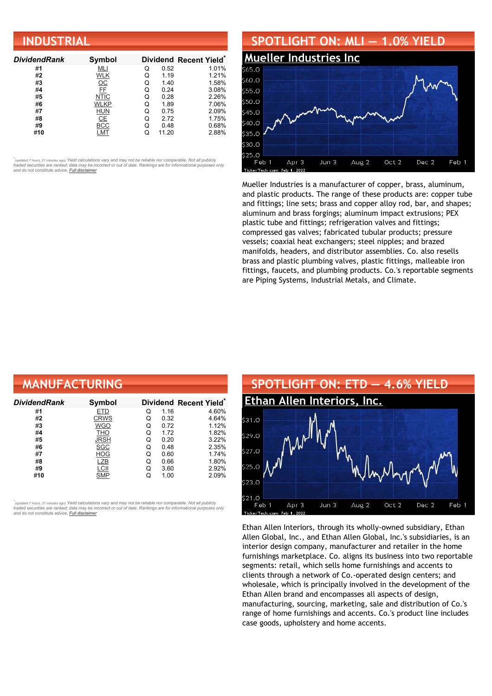| <b>INDUSTRIAL</b>   |                 |   |       |                        |  |
|---------------------|-----------------|---|-------|------------------------|--|
| <b>DividendRank</b> | Symbol          |   |       | Dividend Recent Yield* |  |
| #1                  | MLI             | Q | 0.52  | 1.01%                  |  |
| #2                  | <b>WLK</b>      | Q | 1.19  | 1.21%                  |  |
| #3                  | $\frac{OC}{FE}$ | Q | 1.40  | 1.58%                  |  |
| #4                  |                 | Q | 0.24  | 3.08%                  |  |
| #5                  | <b>NTIC</b>     | Q | 0.28  | 2.26%                  |  |
| #6                  | <b>WLKP</b>     | Q | 1.89  | 7.06%                  |  |
| #7                  | <u>HUN</u>      | Q | 0.75  | 2.09%                  |  |
| #8                  | CE              | Q | 2.72  | 1.75%                  |  |
| #9                  | <b>BCC</b>      | Q | 0.48  | 0.68%                  |  |
| #10                 | LMT             | Q | 11.20 | 2.88%                  |  |



Mueller Industries is a manufacturer of copper, brass, aluminum, and plastic products. The range of these products are: copper tube and fittings; line sets; brass and copper alloy rod, bar, and shapes; aluminum and brass forgings; aluminum impact extrusions; PEX plastic tube and fittings; refrigeration valves and fittings; compressed gas valves; fabricated tubular products; pressure vessels; coaxial heat exchangers; steel nipples; and brazed manifolds, headers, and distributor assemblies. Co. also resells brass and plastic plumbing valves, plastic fittings, malleable iron fittings, faucets, and plumbing products. Co.'s reportable segments are Piping Systems, Industrial Metals, and Climate.

| <b>MANUFACTURING</b> |             |   |      |                                    |
|----------------------|-------------|---|------|------------------------------------|
| Dividend Rank        | Symbol      |   |      | Dividend Recent Yield <sup>®</sup> |
| #1                   | ETD         | Q | 1.16 | 4.60%                              |
| #2                   | <b>CRWS</b> | Q | 0.32 | 4.64%                              |
| #3                   | WGO         | Q | 0.72 | 1.12%                              |
| #4                   | THO         | Q | 1.72 | 1.82%                              |
| #5                   | <b>JRSH</b> | Q | 0.20 | 3.22%                              |
| #6                   | <b>SGC</b>  | Q | 0.48 | 2.35%                              |
| #7                   | <b>HOG</b>  | Q | 0.60 | 1.74%                              |
| #8                   | LZB         | Q | 0.66 | 1.80%                              |
| #9                   | LCII        | Q | 3.60 | 2.92%                              |
| #10                  | SMP         | Q | 1.00 | 2.09%                              |

*\** ated 7 hours, 21 minutes ago) Yield calculations vary and may not be reliable nor comparable. Not all publicly traded securities are ranked; data may be incorrect or out of date. Rankings are for informational purposes only *and do not constitute advice. Full [disclaimer](https://www.dividendchannel.com/disclaimer/)*



Ethan Allen Interiors, through its wholly-owned subsidiary, Ethan Allen Global, Inc., and Ethan Allen Global, Inc.'s subsidiaries, is an interior design company, manufacturer and retailer in the home furnishings marketplace. Co. aligns its business into two reportable segments: retail, which sells home furnishings and accents to clients through a network of Co.-operated design centers; and wholesale, which is principally involved in the development of the Ethan Allen brand and encompasses all aspects of design, manufacturing, sourcing, marketing, sale and distribution of Co.'s range of home furnishings and accents. Co.'s product line includes case goods, upholstery and home accents.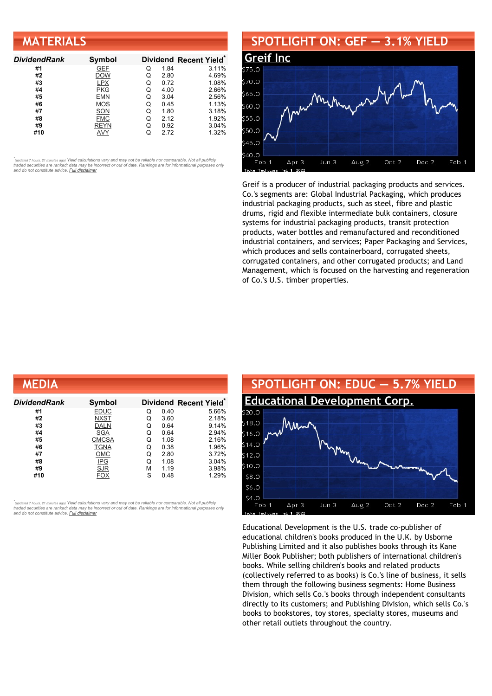| <b>MATERIALS</b>    |             |   |      |                        |
|---------------------|-------------|---|------|------------------------|
| <b>DividendRank</b> | Symbol      |   |      | Dividend Recent Yield* |
| #1                  | <b>GEF</b>  | Q | 1.84 | 3.11%                  |
| #2                  | <b>DOW</b>  | Q | 2.80 | 4.69%                  |
| #3                  | <b>LPX</b>  | Q | 0.72 | 1.08%                  |
| #4                  | <b>PKG</b>  | Q | 4.00 | 2.66%                  |
| #5                  | <b>EMN</b>  | Q | 3.04 | 2.56%                  |
| #6                  | <b>MOS</b>  | Q | 0.45 | 1.13%                  |
| #7                  | SON         | Q | 1.80 | 3.18%                  |
| #8                  | <b>FMC</b>  | Q | 2.12 | 1.92%                  |
| #9                  | <b>REYN</b> | Q | 0.92 | 3.04%                  |
| #10                 | AVY         | Q | 2.72 | 1.32%                  |

## **SPOTLIGHT ON: GEF — 3.1% YIELD**



Greif is a producer of industrial packaging products and services. Co.'s segments are: Global Industrial Packaging, which produces industrial packaging products, such as steel, fibre and plastic drums, rigid and flexible intermediate bulk containers, closure systems for industrial packaging products, transit protection products, water bottles and remanufactured and reconditioned industrial containers, and services; Paper Packaging and Services, which produces and sells containerboard, corrugated sheets, corrugated containers, and other corrugated products; and Land Management, which is focused on the harvesting and regeneration of Co.'s U.S. timber properties.

| <b>MEDIA</b>  |              |   |      |                                    |
|---------------|--------------|---|------|------------------------------------|
| Dividend Rank | Symbol       |   |      | Dividend Recent Yield <sup>®</sup> |
| #1            | <b>EDUC</b>  | Q | 0.40 | 5.66%                              |
| #2            | <b>NXST</b>  | Q | 3.60 | 2.18%                              |
| #3            | <b>DALN</b>  | Q | 0.64 | 9.14%                              |
| #4            | <b>SGA</b>   | Q | 0.64 | 2.94%                              |
| #5            | <b>CMCSA</b> | Q | 1.08 | 2.16%                              |
| #6            | <b>TGNA</b>  | Q | 0.38 | 1.96%                              |
| #7            | <b>OMC</b>   | Q | 2.80 | 3.72%                              |
| #8            | $IPG$        | Q | 1.08 | 3.04%                              |
| #9            | <b>SJR</b>   | М | 1.19 | 3.98%                              |
| #10           | FOX          | S | 0.48 | 1.29%                              |

*\** ated 7 hours, 21 minutes ago) Yield calculations vary and may not be reliable nor comparable. Not all publicly traded securities are ranked; data may be incorrect or out of date. Rankings are for informational purposes only *and do not constitute advice. Full [disclaimer](https://www.dividendchannel.com/disclaimer/)*



Educational Development is the U.S. trade co-publisher of educational children's books produced in the U.K. by Usborne Publishing Limited and it also publishes books through its Kane Miller Book Publisher; both publishers of international children's books. While selling children's books and related products (collectively referred to as books) is Co.'s line of business, it sells them through the following business segments: Home Business Division, which sells Co.'s books through independent consultants directly to its customers; and Publishing Division, which sells Co.'s books to bookstores, toy stores, specialty stores, museums and other retail outlets throughout the country.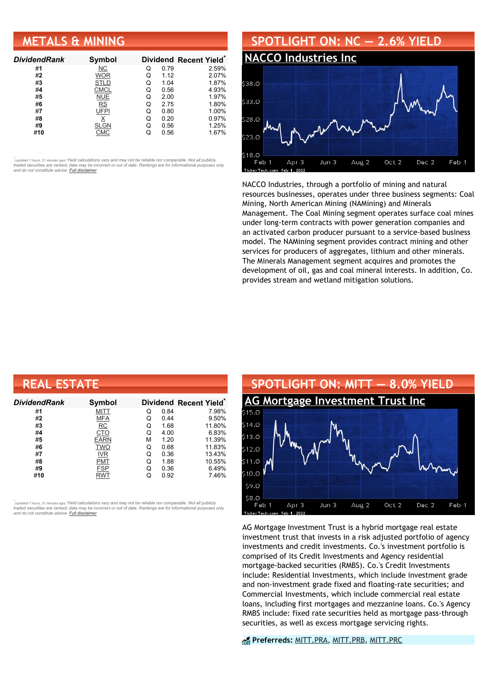# **METALS & MINING**

| <b>DividendRank</b> | Symbol      |   |      | Dividend Recent Yield* |
|---------------------|-------------|---|------|------------------------|
| #1                  | NС          | Q | 0.79 | 2.59%                  |
| #2                  | <b>WOR</b>  | Q | 1.12 | 2.07%                  |
| #3                  | <b>STLD</b> | Q | 1.04 | 1.87%                  |
| #4                  | <b>CMCL</b> | Q | 0.56 | 4.93%                  |
| #5                  | <b>NUE</b>  | Q | 2.00 | 1.97%                  |
| #6                  | RS          | Q | 2.75 | 1.80%                  |
| #7                  | <b>UFPI</b> | Q | 0.80 | 1.00%                  |
| #8                  |             | Q | 0.20 | 0.97%                  |
| #9                  | <b>SLGN</b> | O | 0.56 | 1.25%                  |
| #10                 | СМС         |   | 0.56 | 1.67%                  |

•<br>"<sub>(updated 7 hours, 21 minutes ago) Yield calculations vary and may not be reliable nor comparable. Not all publicly<br>traded securities are ranked; data may be incorrect or out of date. Rankings are for informational purp</sub> *and do not constitute advice. Full [disclaimer](https://www.dividendchannel.com/disclaimer/)*



NACCO Industries, through a portfolio of mining and natural resources businesses, operates under three business segments: Coal Mining, North American Mining (NAMining) and Minerals Management. The Coal Mining segment operates surface coal mines under long-term contracts with power generation companies and an activated carbon producer pursuant to a service-based business model. The NAMining segment provides contract mining and other services for producers of aggregates, lithium and other minerals. The Minerals Management segment acquires and promotes the development of oil, gas and coal mineral interests. In addition, Co. provides stream and wetland mitigation solutions.

| <b>REAL ESTATE</b> |             |   |      |                                    |  |  |
|--------------------|-------------|---|------|------------------------------------|--|--|
| DividendRank       | Symbol      |   |      | Dividend Recent Yield <sup>®</sup> |  |  |
| #1                 | <b>MITT</b> | Q | 0.84 | 7.98%                              |  |  |
| #2                 | <b>MFA</b>  | Q | 0.44 | 9.50%                              |  |  |
| #3                 | RC          | Q | 1.68 | 11.80%                             |  |  |
| #4                 | CTO         | Q | 4.00 | 6.83%                              |  |  |
| #5                 | <b>EARN</b> | М | 1.20 | 11.39%                             |  |  |
| #6                 | <b>TWO</b>  | Q | 0.68 | 11.83%                             |  |  |
| #7                 | <b>IVR</b>  | Q | 0.36 | 13.43%                             |  |  |
| #8                 | <b>PMT</b>  | Q | 1.88 | 10.55%                             |  |  |
| #9                 | <b>FSP</b>  | Q | 0.36 | 6.49%                              |  |  |
| #10                | <b>RWT</b>  | Q | 0.92 | 7.46%                              |  |  |

*\** ated 7 hours, 21 minutes ago) Yield calculations vary and may not be reliable nor comparable. Not all publicly traded securities are ranked; data may be incorrect or out of date. Rankings are for informational purposes only *and do not constitute advice. Full [disclaimer](https://www.dividendchannel.com/disclaimer/)*



AG Mortgage Investment Trust is a hybrid mortgage real estate investment trust that invests in a risk adjusted portfolio of agency investments and credit investments. Co.'s investment portfolio is comprised of its Credit Investments and Agency residential mortgage-backed securities (RMBS). Co.'s Credit Investments include: Residential Investments, which include investment grade and non-investment grade fixed and floating-rate securities; and Commercial Investments, which include commercial real estate loans, including first mortgages and mezzanine loans. Co.'s Agency RMBS include: fixed rate securities held as mortgage pass-through securities, as well as excess mortgage servicing rights.

**Preferreds:** [MITT.PRA](https://www.preferredstockchannel.com/symbol/mitt.pra/), [MITT.PRB,](https://www.preferredstockchannel.com/symbol/mitt.prb/) [MITT.PRC](https://www.preferredstockchannel.com/symbol/mitt.prc/)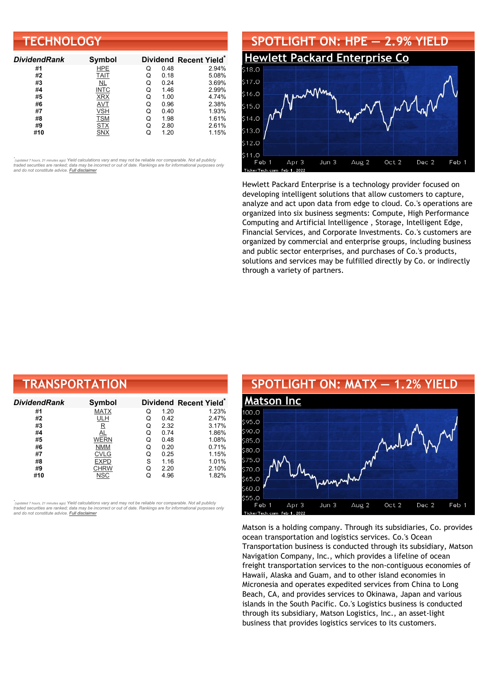| <b>TECHNOLOGY</b>   |               |   |      |                        |  |
|---------------------|---------------|---|------|------------------------|--|
| <b>DividendRank</b> | <b>Symbol</b> |   |      | Dividend Recent Yield* |  |
| #1                  | <b>HPE</b>    | Q | 0.48 | 2.94%                  |  |
| #2                  | <b>TAIT</b>   | Q | 0.18 | 5.08%                  |  |
| #3                  | NL            | Q | 0.24 | 3.69%                  |  |
| #4                  | <b>INTC</b>   | Q | 1.46 | 2.99%                  |  |
| #5                  | <b>XRX</b>    | Q | 1.00 | 4.74%                  |  |
| #6                  | AVT           | Q | 0.96 | 2.38%                  |  |
| #7                  | VSH           | Q | 0.40 | 1.93%                  |  |
| #8                  | <b>TSM</b>    | Q | 1.98 | 1.61%                  |  |
| #9                  | <b>STX</b>    | Q | 2.80 | 2.61%                  |  |
| #10                 | <b>SNX</b>    | Q | 1.20 | 1.15%                  |  |



Hewlett Packard Enterprise is a technology provider focused on developing intelligent solutions that allow customers to capture, analyze and act upon data from edge to cloud. Co.'s operations are organized into six business segments: Compute, High Performance Computing and Artificial Intelligence , Storage, Intelligent Edge, Financial Services, and Corporate Investments. Co.'s customers are organized by commercial and enterprise groups, including business and public sector enterprises, and purchases of Co.'s products, solutions and services may be fulfilled directly by Co. or indirectly through a variety of partners.

| <b>TRANSPORTATION</b> |                         |   |      |                        |  |  |
|-----------------------|-------------------------|---|------|------------------------|--|--|
| DividendRank          | Symbol                  |   |      | Dividend Recent Yield* |  |  |
| #1                    | <b>MATX</b>             | Q | 1.20 | 1.23%                  |  |  |
| #2                    | <b>ULH</b>              | Q | 0.42 | 2.47%                  |  |  |
| #3                    | $\overline{\mathsf{R}}$ | Q | 2.32 | 3.17%                  |  |  |
| #4                    | AL                      | Q | 0.74 | 1.86%                  |  |  |
| #5                    | <b>WERN</b>             | Q | 0.48 | 1.08%                  |  |  |
| #6                    | <b>NMM</b>              | Q | 0.20 | 0.71%                  |  |  |
| #7                    | <b>CVLG</b>             | Q | 0.25 | 1.15%                  |  |  |
| #8                    | <b>EXPD</b>             | S | 1.16 | 1.01%                  |  |  |
| #9                    | CHRW                    | Q | 2.20 | 2.10%                  |  |  |
| #10                   | NSC                     | Q | 4.96 | 1.82%                  |  |  |

*\** ated 7 hours, 21 minutes ago) Yield calculations vary and may not be reliable nor comparable. Not all publicly traded securities are ranked; data may be incorrect or out of date. Rankings are for informational purposes only *and do not constitute advice. Full [disclaimer](https://www.dividendchannel.com/disclaimer/)*



Matson is a holding company. Through its subsidiaries, Co. provides ocean transportation and logistics services. Co.'s Ocean Transportation business is conducted through its subsidiary, Matson Navigation Company, Inc., which provides a lifeline of ocean freight transportation services to the non-contiguous economies of Hawaii, Alaska and Guam, and to other island economies in Micronesia and operates expedited services from China to Long Beach, CA, and provides services to Okinawa, Japan and various islands in the South Pacific. Co.'s Logistics business is conducted through its subsidiary, Matson Logistics, Inc., an asset-light business that provides logistics services to its customers.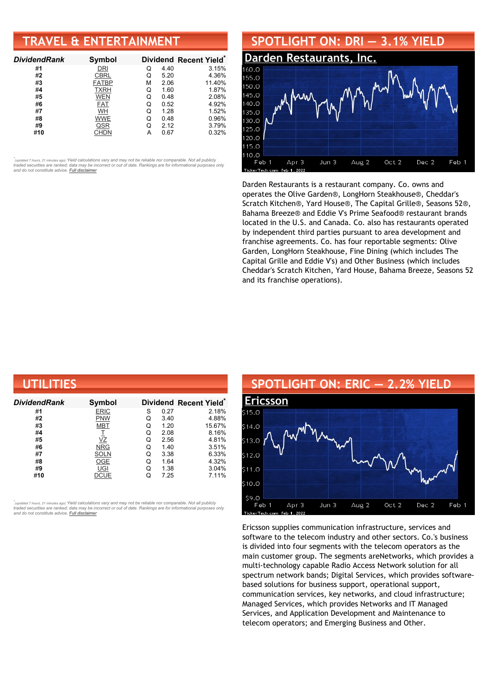# **TRAVEL & ENTERTAINMENT**

| <b>DividendRank</b> | Symbol       |   |      | Dividend Recent Yield* |
|---------------------|--------------|---|------|------------------------|
| #1                  | DRI          | Q | 4.40 | 3.15%                  |
| #2                  | CBRL         | Q | 5.20 | 4.36%                  |
| #3                  | <b>FATBP</b> | м | 2.06 | 11.40%                 |
| #4                  | <b>TXRH</b>  | Q | 1.60 | 1.87%                  |
| #5                  | <b>WEN</b>   | Q | 0.48 | 2.08%                  |
| #6                  | <b>FAT</b>   | Q | 0.52 | 4.92%                  |
| #7                  | WH           | Q | 1.28 | 1.52%                  |
| #8                  | WWE          | Q | 0.48 | 0.96%                  |
| #9                  | QSR          | Q | 2.12 | 3.79%                  |
| #10                 | CHDN         |   | 0.67 | 0.32%                  |

•<br>"<sub>(updated 7 hours, 21 minutes ago) Yield calculations vary and may not be reliable nor comparable. Not all publicly<br>traded securities are ranked; data may be incorrect or out of date. Rankings are for informational purp</sub> *and do not constitute advice. Full [disclaimer](https://www.dividendchannel.com/disclaimer/)*



Darden Restaurants is a restaurant company. Co. owns and operates the Olive Garden®, LongHorn Steakhouse®, Cheddar's Scratch Kitchen®, Yard House®, The Capital Grille®, Seasons 52®, Bahama Breeze® and Eddie V's Prime Seafood® restaurant brands located in the U.S. and Canada. Co. also has restaurants operated by independent third parties pursuant to area development and franchise agreements. Co. has four reportable segments: Olive Garden, LongHorn Steakhouse, Fine Dining (which includes The Capital Grille and Eddie V's) and Other Business (which includes Cheddar's Scratch Kitchen, Yard House, Bahama Breeze, Seasons 52 and its franchise operations).

| UTILITIES     |             |   |      |                                    |  |  |
|---------------|-------------|---|------|------------------------------------|--|--|
| Dividend Rank | Symbol      |   |      | Dividend Recent Yield <sup>®</sup> |  |  |
| #1            | <b>ERIC</b> | S | 0.27 | 2.18%                              |  |  |
| #2            | <b>PNW</b>  | Q | 3.40 | 4.88%                              |  |  |
| #3            | <b>MBT</b>  | Q | 1.20 | 15.67%                             |  |  |
| #4            | I           | Q | 2.08 | 8.16%                              |  |  |
| #5            | VΖ          | Q | 2.56 | 4.81%                              |  |  |
| #6            | <b>NRG</b>  | Q | 1.40 | 3.51%                              |  |  |
| #7            | <b>SOLN</b> | Q | 3.38 | 6.33%                              |  |  |
| #8            | <b>OGE</b>  | Q | 1.64 | 4.32%                              |  |  |
| #9            | UGI         | Q | 1.38 | 3.04%                              |  |  |
| #10           | DCUE        | Q | 7.25 | 7.11%                              |  |  |

*\** ated 7 hours, 21 minutes ago) Yield calculations vary and may not be reliable nor comparable. Not all publicly traded securities are ranked; data may be incorrect or out of date. Rankings are for informational purposes only *and do not constitute advice. Full [disclaimer](https://www.dividendchannel.com/disclaimer/)*

### **SPOTLIGHT ON: ERIC — 2.2% YIELD [Ericsson](http://www.dividendchannel.com/symbol/eric/)** 515.0  $514.0$ 513.0  $12.0$  $511.0$  $10.0$  $590$ Feb 1 Apr 3  $Jun<sub>3</sub>$ Aug 2 Oct 2 Dec 2 Feb 1

erTecl

Feb 1, 2022

Ericsson supplies communication infrastructure, services and software to the telecom industry and other sectors. Co.'s business is divided into four segments with the telecom operators as the main customer group. The segments areNetworks, which provides a multi-technology capable Radio Access Network solution for all spectrum network bands; Digital Services, which provides softwarebased solutions for business support, operational support, communication services, key networks, and cloud infrastructure; Managed Services, which provides Networks and IT Managed Services, and Application Development and Maintenance to telecom operators; and Emerging Business and Other.